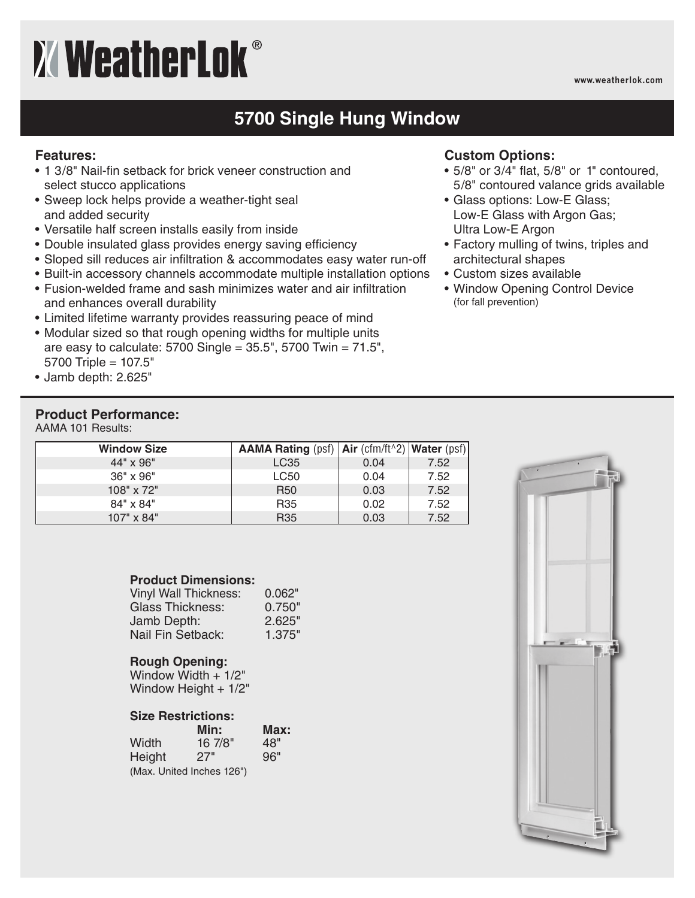# **XWeatherLok®**

#### **www.weatherlok.com**

# **5700 Single Hung Window**

### **Features:**

- 1 3/8" Nail-fin setback for brick veneer construction and select stucco applications
- Sweep lock helps provide a weather-tight seal and added security
- Versatile half screen installs easily from inside
- Double insulated glass provides energy saving efficiency
- Sloped sill reduces air infiltration & accommodates easy water run-off
- Built-in accessory channels accommodate multiple installation options
- Fusion-welded frame and sash minimizes water and air infiltration and enhances overall durability
- Limited lifetime warranty provides reassuring peace of mind
- Modular sized so that rough opening widths for multiple units are easy to calculate:  $5700$  Single =  $35.5$ ",  $5700$  Twin =  $71.5$ ", 5700 Triple = 107.5"
- Jamb depth: 2.625"

# **Custom Options:**

- 5/8" or 3/4" flat, 5/8" or 1" contoured, 5/8" contoured valance grids available
- Glass options: Low-E Glass; Low-E Glass with Argon Gas; Ultra Low-E Argon
- Factory mulling of twins, triples and architectural shapes
- Custom sizes available
- Window Opening Control Device (for fall prevention)

## **Product Performance:**

AAMA 101 Results:

| <b>Window Size</b> | AAMA Rating (psf)   Air (cfm/ft^2)   Water (psf) |      |      |
|--------------------|--------------------------------------------------|------|------|
| 44" x 96"          | LC <sub>35</sub>                                 | 0.04 | 7.52 |
| $36" \times 96"$   | <b>LC50</b>                                      | 0.04 | 7.52 |
| $108" \times 72"$  | <b>R50</b>                                       | 0.03 | 7.52 |
| 84" x 84"          | R <sub>35</sub>                                  | 0.02 | 7.52 |
| $107" \times 84"$  | R <sub>35</sub>                                  | 0.03 | 7.52 |

#### **Product Dimensions:**

| 0.062" |
|--------|
| 0.750" |
| 2.625" |
| 1.375" |
|        |

#### **Rough Opening:**

Window Width  $+ 1/2$ " Window Height + 1/2"

# **Size Restrictions:**

|        | Min:                      | Max: |
|--------|---------------------------|------|
| Width  | 16 7/8"                   | 48"  |
| Height | 27"                       | 96"  |
|        | (Max. United Inches 126") |      |